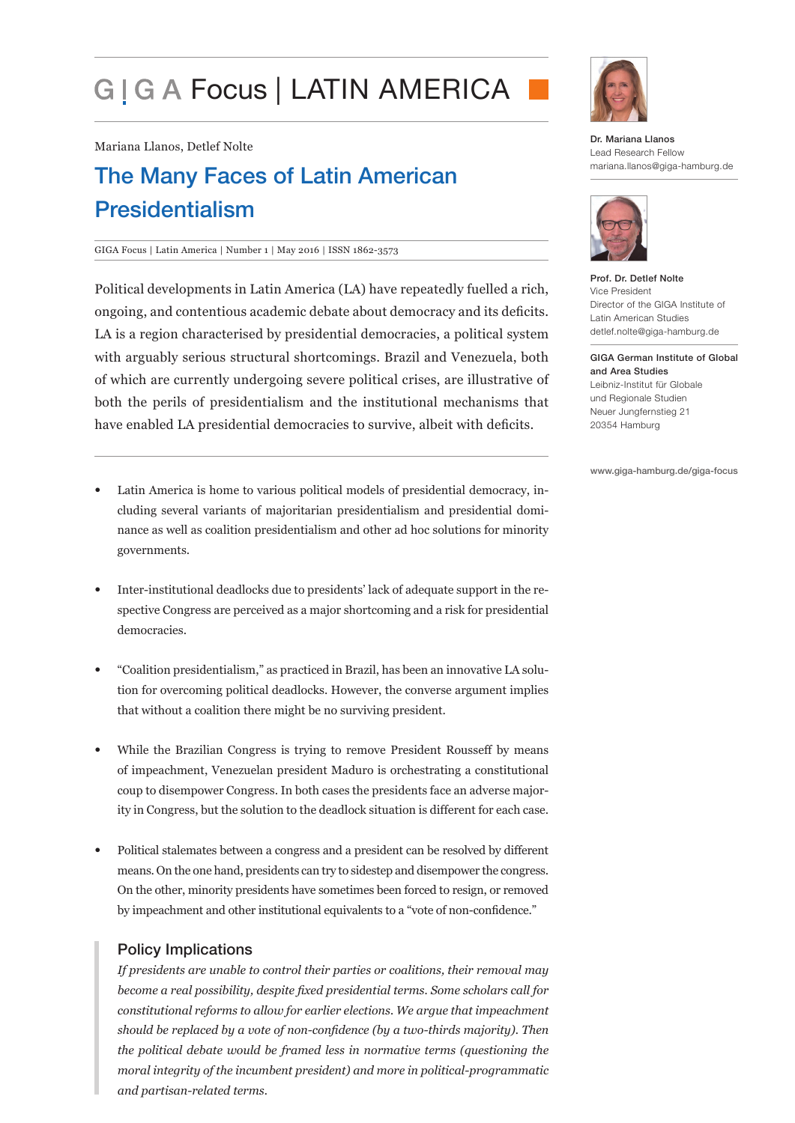# G I G A Focus | LATIN AMERICA

Mariana Llanos, Detlef Nolte

## The Many Faces of Latin American Presidentialism

#### GIGA Focus | Latin America | Number 1 | May 2016 | ISSN 1862-3573

Political developments in Latin America (LA) have repeatedly fuelled a rich, ongoing, and contentious academic debate about democracy and its deficits. LA is a region characterised by presidential democracies, a political system with arguably serious structural shortcomings. Brazil and Venezuela, both of which are currently undergoing severe political crises, are illustrative of both the perils of presidentialism and the institutional mechanisms that have enabled LA presidential democracies to survive, albeit with deficits.

- Latin America is home to various political models of presidential democracy, including several variants of majoritarian presidentialism and presidential dominance as well as coalition presidentialism and other ad hoc solutions for minority governments.
- Inter-institutional deadlocks due to presidents' lack of adequate support in the respective Congress are perceived as a major shortcoming and a risk for presidential democracies.
- "Coalition presidentialism," as practiced in Brazil, has been an innovative LA solution for overcoming political deadlocks. However, the converse argument implies that without a coalition there might be no surviving president.
- While the Brazilian Congress is trying to remove President Rousseff by means of impeachment, Venezuelan president Maduro is orchestrating a constitutional coup to disempower Congress. In both cases the presidents face an adverse majority in Congress, but the solution to the deadlock situation is different for each case.
- Political stalemates between a congress and a president can be resolved by different means. On the one hand, presidents can try to sidestep and disempower the congress. On the other, minority presidents have sometimes been forced to resign, or removed by impeachment and other institutional equivalents to a "vote of non-confidence."

## Policy Implications

*If presidents are unable to control their parties or coalitions, their removal may become a real possibility, despite fixed presidential terms. Some scholars call for constitutional reforms to allow for earlier elections. We argue that impeachment should be replaced by a vote of non-confidence (by a two-thirds majority). Then the political debate would be framed less in normative terms (questioning the moral integrity of the incumbent president) and more in political-programmatic and partisan-related terms.*



Dr. Mariana Llanos Lead Research Fellow mariana.llanos@giga-hamburg.de



Prof. Dr. Detlef Nolte Vice President Director of the GIGA Institute of Latin American Studies detlef.nolte@giga-hamburg.de

GIGA German Institute of Global and Area Studies Leibniz-Institut für Globale und Regionale Studien Neuer Jungfernstieg 21 20354 Hamburg

www.giga-hamburg.de/giga-focus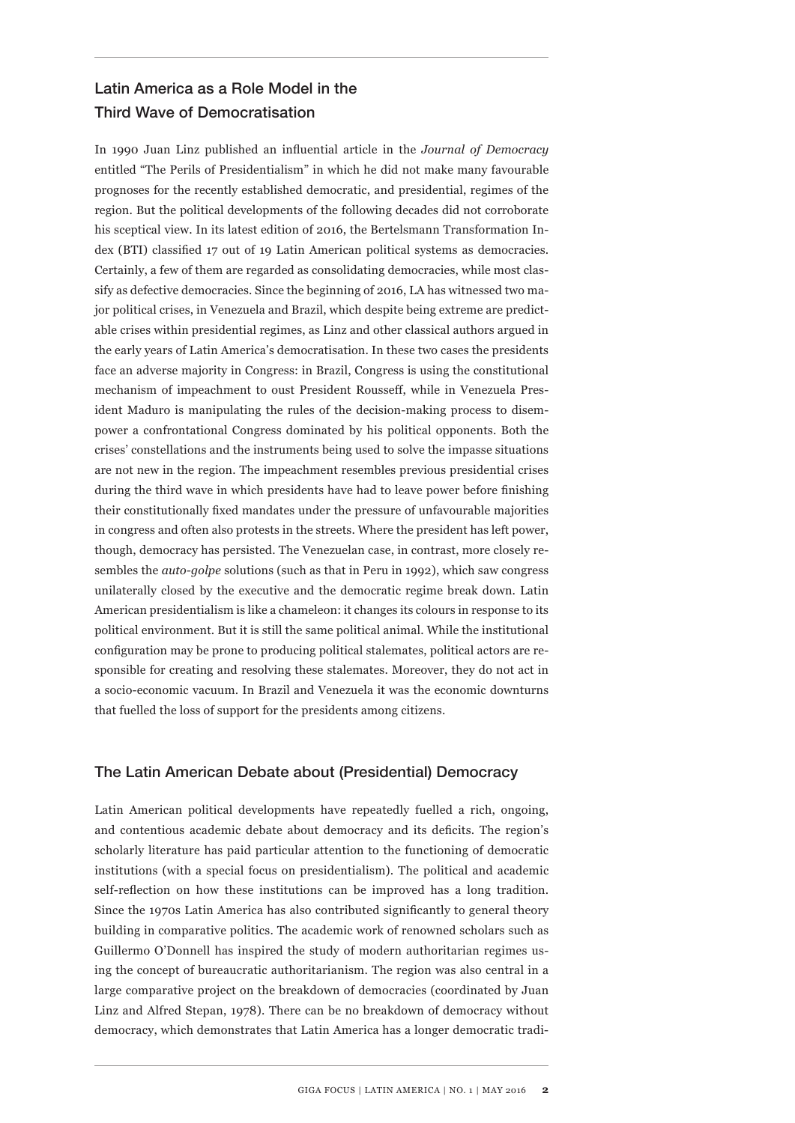## Latin America as a Role Model in the Third Wave of Democratisation

In 1990 Juan Linz published an influential article in the *Journal of Democracy* entitled "The Perils of Presidentialism" in which he did not make many favourable prognoses for the recently established democratic, and presidential, regimes of the region. But the political developments of the following decades did not corroborate his sceptical view. In its latest edition of 2016, the Bertelsmann Transformation Index (BTI) classified 17 out of 19 Latin American political systems as democracies. Certainly, a few of them are regarded as consolidating democracies, while most classify as defective democracies. Since the beginning of 2016, LA has witnessed two major political crises, in Venezuela and Brazil, which despite being extreme are predictable crises within presidential regimes, as Linz and other classical authors argued in the early years of Latin America's democratisation. In these two cases the presidents face an adverse majority in Congress: in Brazil, Congress is using the constitutional mechanism of impeachment to oust President Rousseff, while in Venezuela President Maduro is manipulating the rules of the decision-making process to disempower a confrontational Congress dominated by his political opponents. Both the crises' constellations and the instruments being used to solve the impasse situations are not new in the region. The impeachment resembles previous presidential crises during the third wave in which presidents have had to leave power before finishing their constitutionally fixed mandates under the pressure of unfavourable majorities in congress and often also protests in the streets. Where the president has left power, though, democracy has persisted. The Venezuelan case, in contrast, more closely resembles the *auto-golpe* solutions (such as that in Peru in 1992), which saw congress unilaterally closed by the executive and the democratic regime break down. Latin American presidentialism is like a chameleon: it changes its colours in response to its political environment. But it is still the same political animal. While the institutional configuration may be prone to producing political stalemates, political actors are responsible for creating and resolving these stalemates. Moreover, they do not act in a socio-economic vacuum. In Brazil and Venezuela it was the economic downturns that fuelled the loss of support for the presidents among citizens.

## The Latin American Debate about (Presidential) Democracy

Latin American political developments have repeatedly fuelled a rich, ongoing, and contentious academic debate about democracy and its deficits. The region's scholarly literature has paid particular attention to the functioning of democratic institutions (with a special focus on presidentialism). The political and academic self-reflection on how these institutions can be improved has a long tradition. Since the 1970s Latin America has also contributed significantly to general theory building in comparative politics. The academic work of renowned scholars such as Guillermo O'Donnell has inspired the study of modern authoritarian regimes using the concept of bureaucratic authoritarianism. The region was also central in a large comparative project on the breakdown of democracies (coordinated by Juan Linz and Alfred Stepan, 1978). There can be no breakdown of democracy without democracy, which demonstrates that Latin America has a longer democratic tradi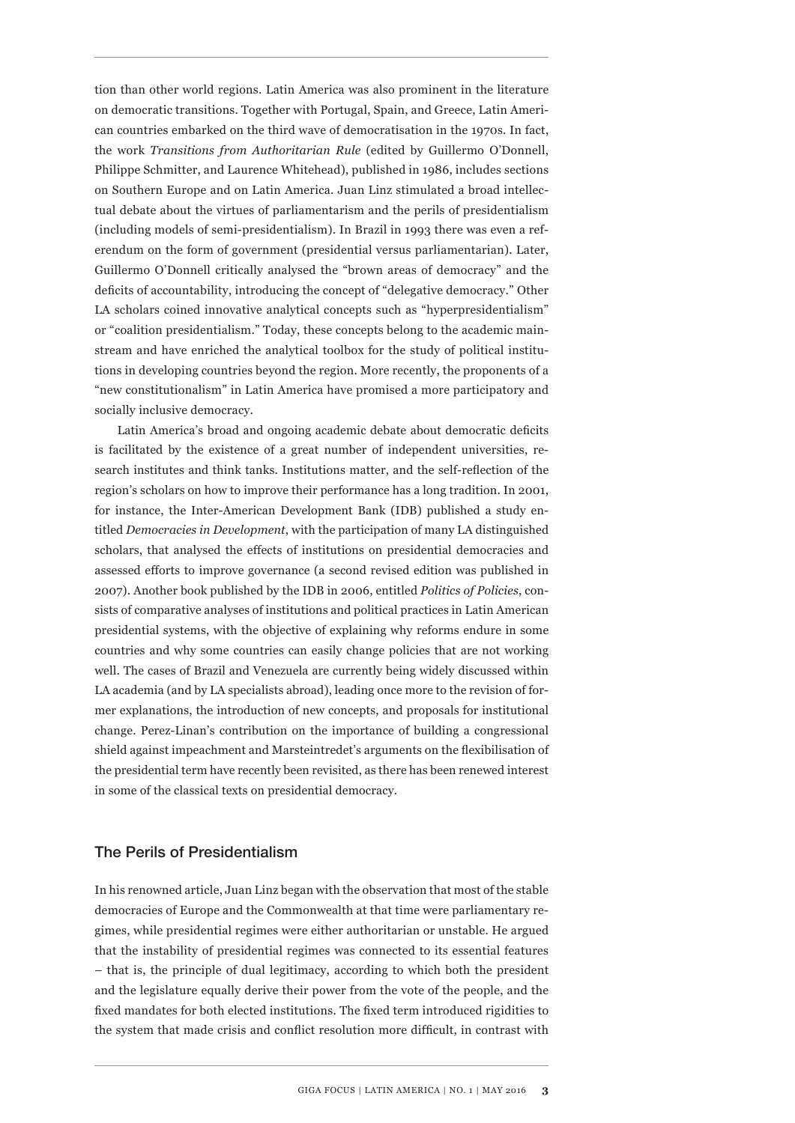tion than other world regions. Latin America was also prominent in the literature on democratic transitions. Together with Portugal, Spain, and Greece, Latin American countries embarked on the third wave of democratisation in the 1970s. In fact, the work *Transitions from Authoritarian Rule* (edited by Guillermo O'Donnell, Philippe Schmitter, and Laurence Whitehead), published in 1986, includes sections on Southern Europe and on Latin America. Juan Linz stimulated a broad intellectual debate about the virtues of parliamentarism and the perils of presidentialism (including models of semi-presidentialism). In Brazil in 1993 there was even a referendum on the form of government (presidential versus parliamentarian). Later, Guillermo O'Donnell critically analysed the "brown areas of democracy" and the deficits of accountability, introducing the concept of "delegative democracy." Other LA scholars coined innovative analytical concepts such as "hyperpresidentialism" or "coalition presidentialism." Today, these concepts belong to the academic mainstream and have enriched the analytical toolbox for the study of political institutions in developing countries beyond the region. More recently, the proponents of a "new constitutionalism" in Latin America have promised a more participatory and socially inclusive democracy.

Latin America's broad and ongoing academic debate about democratic deficits is facilitated by the existence of a great number of independent universities, research institutes and think tanks. Institutions matter, and the self-reflection of the region's scholars on how to improve their performance has a long tradition. In 2001, for instance, the Inter-American Development Bank (IDB) published a study entitled *Democracies in Development*, with the participation of many LA distinguished scholars, that analysed the effects of institutions on presidential democracies and assessed efforts to improve governance (a second revised edition was published in 2007). Another book published by the IDB in 2006, entitled *Politics of Policies*, consists of comparative analyses of institutions and political practices in Latin American presidential systems, with the objective of explaining why reforms endure in some countries and why some countries can easily change policies that are not working well. The cases of Brazil and Venezuela are currently being widely discussed within LA academia (and by LA specialists abroad), leading once more to the revision of former explanations, the introduction of new concepts, and proposals for institutional change. Perez-Linan's contribution on the importance of building a congressional shield against impeachment and Marsteintredet's arguments on the flexibilisation of the presidential term have recently been revisited, as there has been renewed interest in some of the classical texts on presidential democracy.

## The Perils of Presidentialism

In his renowned article, Juan Linz began with the observation that most of the stable democracies of Europe and the Commonwealth at that time were parliamentary regimes, while presidential regimes were either authoritarian or unstable. He argued that the instability of presidential regimes was connected to its essential features – that is, the principle of dual legitimacy, according to which both the president and the legislature equally derive their power from the vote of the people, and the fixed mandates for both elected institutions. The fixed term introduced rigidities to the system that made crisis and conflict resolution more difficult, in contrast with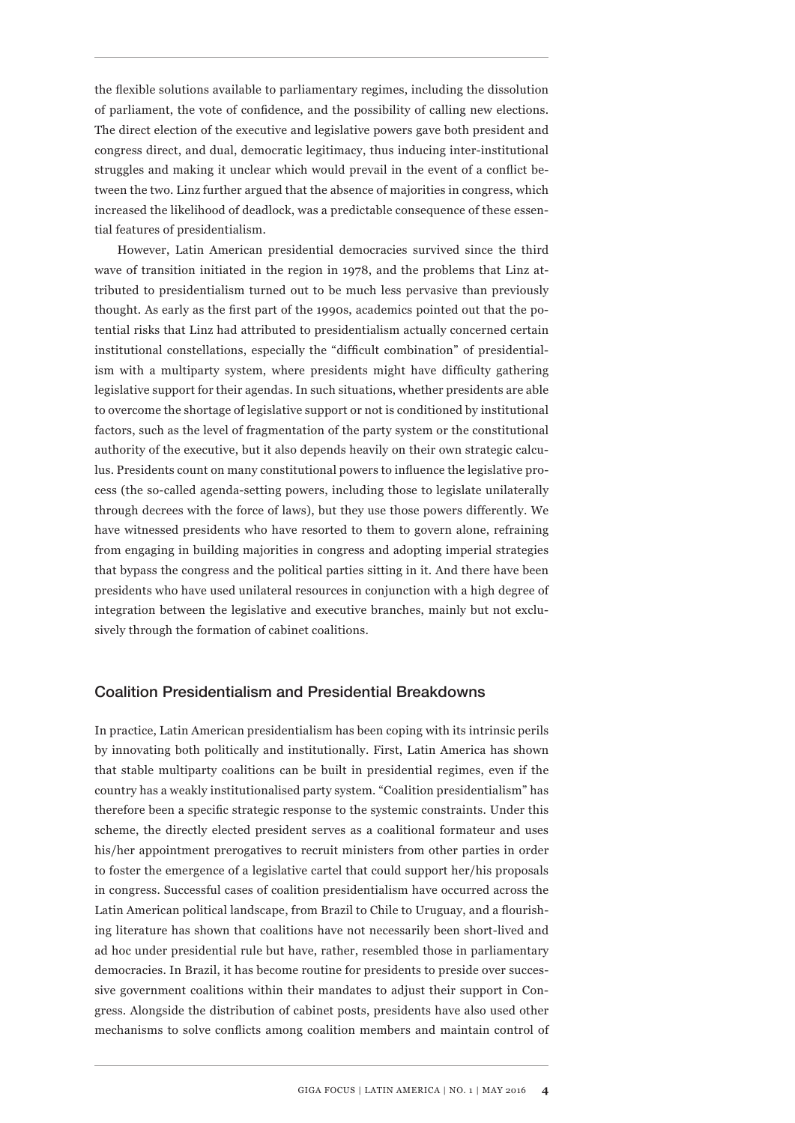the flexible solutions available to parliamentary regimes, including the dissolution of parliament, the vote of confidence, and the possibility of calling new elections. The direct election of the executive and legislative powers gave both president and congress direct, and dual, democratic legitimacy, thus inducing inter-institutional struggles and making it unclear which would prevail in the event of a conflict between the two. Linz further argued that the absence of majorities in congress, which increased the likelihood of deadlock, was a predictable consequence of these essential features of presidentialism.

However, Latin American presidential democracies survived since the third wave of transition initiated in the region in 1978, and the problems that Linz attributed to presidentialism turned out to be much less pervasive than previously thought. As early as the first part of the 1990s, academics pointed out that the potential risks that Linz had attributed to presidentialism actually concerned certain institutional constellations, especially the "difficult combination" of presidentialism with a multiparty system, where presidents might have difficulty gathering legislative support for their agendas. In such situations, whether presidents are able to overcome the shortage of legislative support or not is conditioned by institutional factors, such as the level of fragmentation of the party system or the constitutional authority of the executive, but it also depends heavily on their own strategic calculus. Presidents count on many constitutional powers to influence the legislative process (the so-called agenda-setting powers, including those to legislate unilaterally through decrees with the force of laws), but they use those powers differently. We have witnessed presidents who have resorted to them to govern alone, refraining from engaging in building majorities in congress and adopting imperial strategies that bypass the congress and the political parties sitting in it. And there have been presidents who have used unilateral resources in conjunction with a high degree of integration between the legislative and executive branches, mainly but not exclusively through the formation of cabinet coalitions.

## Coalition Presidentialism and Presidential Breakdowns

In practice, Latin American presidentialism has been coping with its intrinsic perils by innovating both politically and institutionally. First, Latin America has shown that stable multiparty coalitions can be built in presidential regimes, even if the country has a weakly institutionalised party system. "Coalition presidentialism" has therefore been a specific strategic response to the systemic constraints. Under this scheme, the directly elected president serves as a coalitional formateur and uses his/her appointment prerogatives to recruit ministers from other parties in order to foster the emergence of a legislative cartel that could support her/his proposals in congress. Successful cases of coalition presidentialism have occurred across the Latin American political landscape, from Brazil to Chile to Uruguay, and a flourishing literature has shown that coalitions have not necessarily been short-lived and ad hoc under presidential rule but have, rather, resembled those in parliamentary democracies. In Brazil, it has become routine for presidents to preside over successive government coalitions within their mandates to adjust their support in Congress. Alongside the distribution of cabinet posts, presidents have also used other mechanisms to solve conflicts among coalition members and maintain control of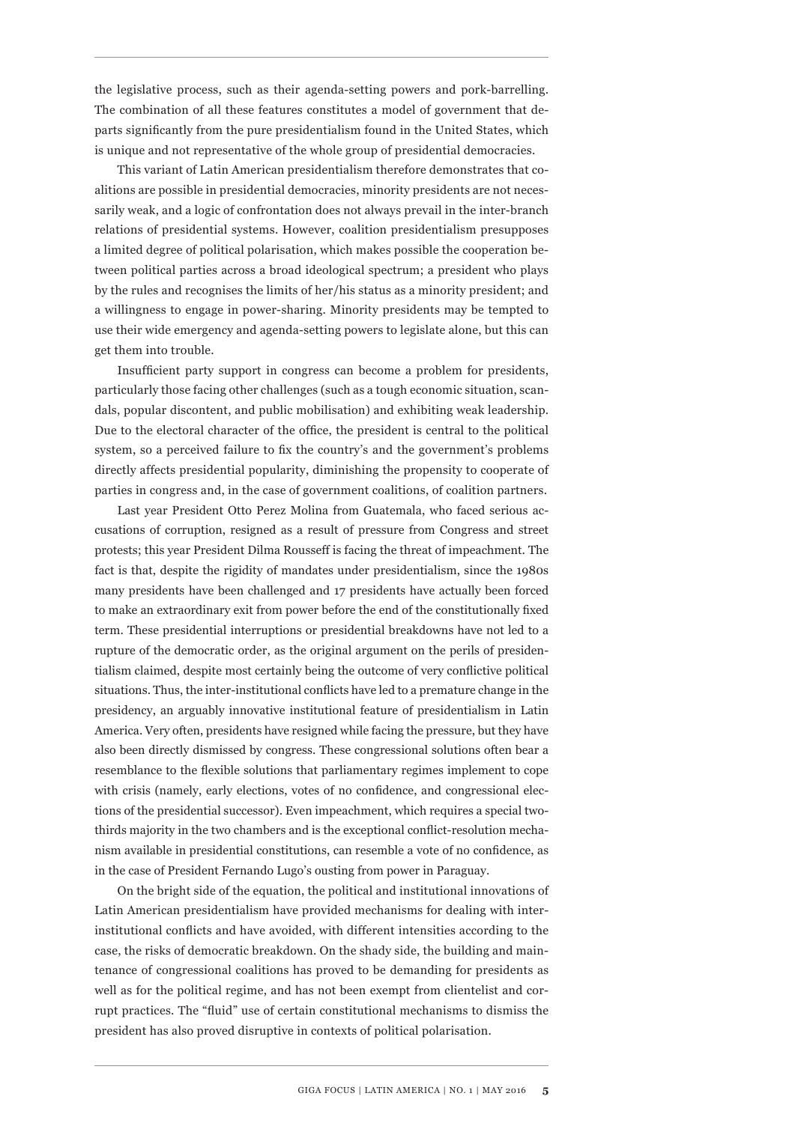the legislative process, such as their agenda-setting powers and pork-barrelling. The combination of all these features constitutes a model of government that departs significantly from the pure presidentialism found in the United States, which is unique and not representative of the whole group of presidential democracies.

This variant of Latin American presidentialism therefore demonstrates that coalitions are possible in presidential democracies, minority presidents are not necessarily weak, and a logic of confrontation does not always prevail in the inter-branch relations of presidential systems. However, coalition presidentialism presupposes a limited degree of political polarisation, which makes possible the cooperation between political parties across a broad ideological spectrum; a president who plays by the rules and recognises the limits of her/his status as a minority president; and a willingness to engage in power-sharing. Minority presidents may be tempted to use their wide emergency and agenda-setting powers to legislate alone, but this can get them into trouble.

Insufficient party support in congress can become a problem for presidents, particularly those facing other challenges (such as a tough economic situation, scandals, popular discontent, and public mobilisation) and exhibiting weak leadership. Due to the electoral character of the office, the president is central to the political system, so a perceived failure to fix the country's and the government's problems directly affects presidential popularity, diminishing the propensity to cooperate of parties in congress and, in the case of government coalitions, of coalition partners.

Last year President Otto Perez Molina from Guatemala, who faced serious accusations of corruption, resigned as a result of pressure from Congress and street protests; this year President Dilma Rousseff is facing the threat of impeachment. The fact is that, despite the rigidity of mandates under presidentialism, since the 1980s many presidents have been challenged and 17 presidents have actually been forced to make an extraordinary exit from power before the end of the constitutionally fixed term. These presidential interruptions or presidential breakdowns have not led to a rupture of the democratic order, as the original argument on the perils of presidentialism claimed, despite most certainly being the outcome of very conflictive political situations. Thus, the inter-institutional conflicts have led to a premature change in the presidency, an arguably innovative institutional feature of presidentialism in Latin America. Very often, presidents have resigned while facing the pressure, but they have also been directly dismissed by congress. These congressional solutions often bear a resemblance to the flexible solutions that parliamentary regimes implement to cope with crisis (namely, early elections, votes of no confidence, and congressional elections of the presidential successor). Even impeachment, which requires a special twothirds majority in the two chambers and is the exceptional conflict-resolution mechanism available in presidential constitutions, can resemble a vote of no confidence, as in the case of President Fernando Lugo's ousting from power in Paraguay.

On the bright side of the equation, the political and institutional innovations of Latin American presidentialism have provided mechanisms for dealing with interinstitutional conflicts and have avoided, with different intensities according to the case, the risks of democratic breakdown. On the shady side, the building and maintenance of congressional coalitions has proved to be demanding for presidents as well as for the political regime, and has not been exempt from clientelist and corrupt practices. The "fluid" use of certain constitutional mechanisms to dismiss the president has also proved disruptive in contexts of political polarisation.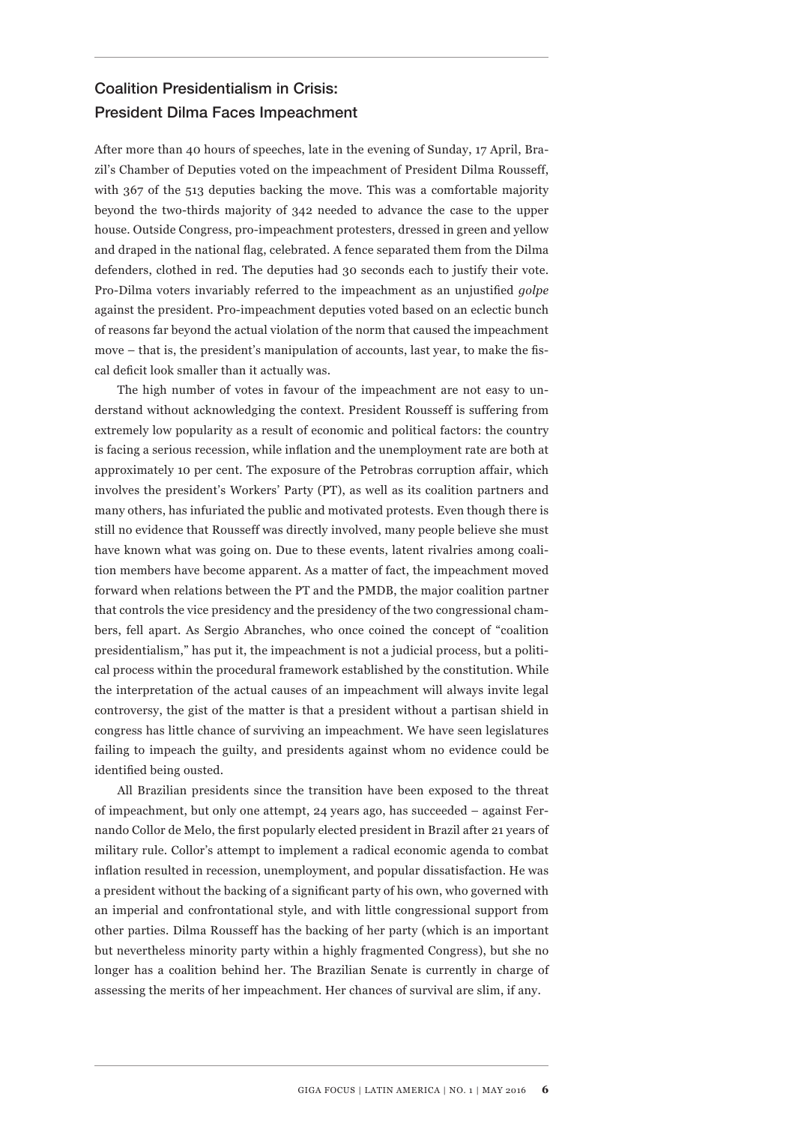## Coalition Presidentialism in Crisis: President Dilma Faces Impeachment

After more than 40 hours of speeches, late in the evening of Sunday, 17 April, Brazil's Chamber of Deputies voted on the impeachment of President Dilma Rousseff, with 367 of the 513 deputies backing the move. This was a comfortable majority beyond the two-thirds majority of 342 needed to advance the case to the upper house. Outside Congress, pro-impeachment protesters, dressed in green and yellow and draped in the national flag, celebrated. A fence separated them from the Dilma defenders, clothed in red. The deputies had 30 seconds each to justify their vote. Pro-Dilma voters invariably referred to the impeachment as an unjustified *golpe*  against the president. Pro-impeachment deputies voted based on an eclectic bunch of reasons far beyond the actual violation of the norm that caused the impeachment move – that is, the president's manipulation of accounts, last year, to make the fiscal deficit look smaller than it actually was.

The high number of votes in favour of the impeachment are not easy to understand without acknowledging the context. President Rousseff is suffering from extremely low popularity as a result of economic and political factors: the country is facing a serious recession, while inflation and the unemployment rate are both at approximately 10 per cent. The exposure of the Petrobras corruption affair, which involves the president's Workers' Party (PT), as well as its coalition partners and many others, has infuriated the public and motivated protests. Even though there is still no evidence that Rousseff was directly involved, many people believe she must have known what was going on. Due to these events, latent rivalries among coalition members have become apparent. As a matter of fact, the impeachment moved forward when relations between the PT and the PMDB, the major coalition partner that controls the vice presidency and the presidency of the two congressional chambers, fell apart. As Sergio Abranches, who once coined the concept of "coalition presidentialism," has put it, the impeachment is not a judicial process, but a political process within the procedural framework established by the constitution. While the interpretation of the actual causes of an impeachment will always invite legal controversy, the gist of the matter is that a president without a partisan shield in congress has little chance of surviving an impeachment. We have seen legislatures failing to impeach the guilty, and presidents against whom no evidence could be identified being ousted.

All Brazilian presidents since the transition have been exposed to the threat of impeachment, but only one attempt, 24 years ago, has succeeded – against Fernando Collor de Melo, the first popularly elected president in Brazil after 21 years of military rule. Collor's attempt to implement a radical economic agenda to combat inflation resulted in recession, unemployment, and popular dissatisfaction. He was a president without the backing of a significant party of his own, who governed with an imperial and confrontational style, and with little congressional support from other parties. Dilma Rousseff has the backing of her party (which is an important but nevertheless minority party within a highly fragmented Congress), but she no longer has a coalition behind her. The Brazilian Senate is currently in charge of assessing the merits of her impeachment. Her chances of survival are slim, if any.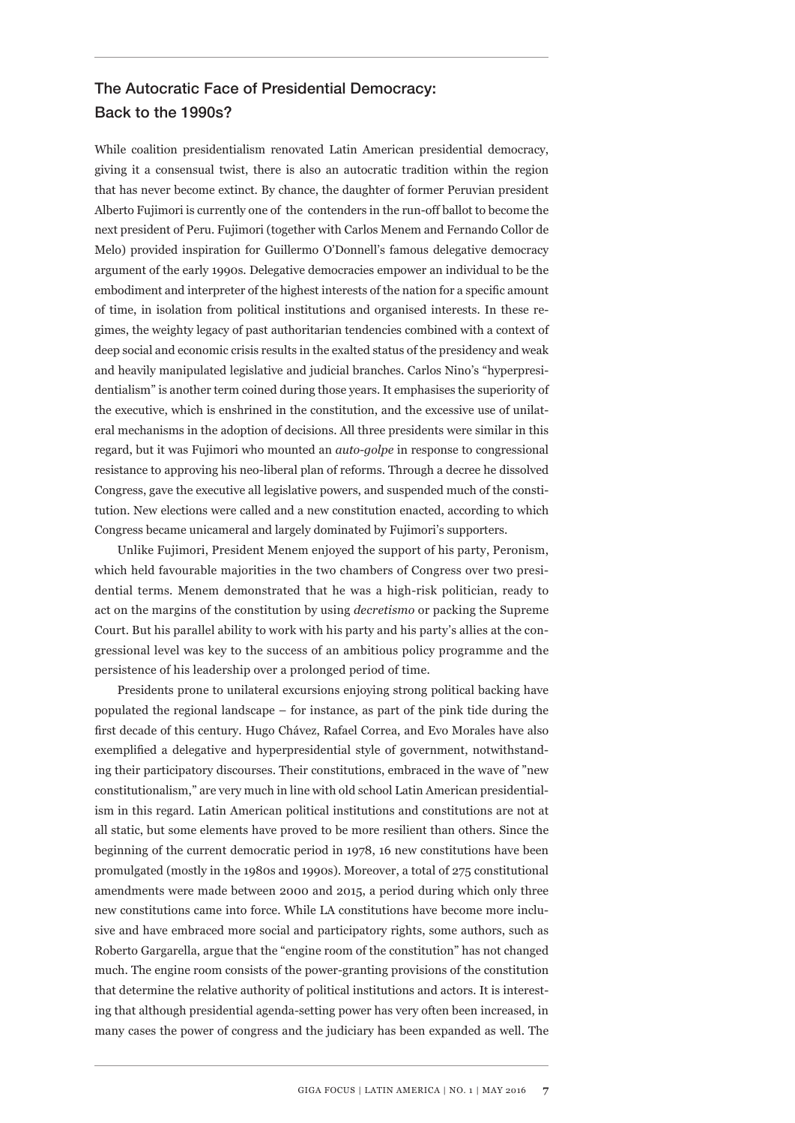## The Autocratic Face of Presidential Democracy: Back to the 1990s?

While coalition presidentialism renovated Latin American presidential democracy, giving it a consensual twist, there is also an autocratic tradition within the region that has never become extinct. By chance, the daughter of former Peruvian president Alberto Fujimori is currently one of the contenders in the run-off ballot to become the next president of Peru. Fujimori (together with Carlos Menem and Fernando Collor de Melo) provided inspiration for Guillermo O'Donnell's famous delegative democracy argument of the early 1990s. Delegative democracies empower an individual to be the embodiment and interpreter of the highest interests of the nation for a specific amount of time, in isolation from political institutions and organised interests. In these regimes, the weighty legacy of past authoritarian tendencies combined with a context of deep social and economic crisis results in the exalted status of the presidency and weak and heavily manipulated legislative and judicial branches. Carlos Nino's "hyperpresidentialism" is another term coined during those years. It emphasises the superiority of the executive, which is enshrined in the constitution, and the excessive use of unilateral mechanisms in the adoption of decisions. All three presidents were similar in this regard, but it was Fujimori who mounted an *auto-golpe* in response to congressional resistance to approving his neo-liberal plan of reforms. Through a decree he dissolved Congress, gave the executive all legislative powers, and suspended much of the constitution. New elections were called and a new constitution enacted, according to which Congress became unicameral and largely dominated by Fujimori's supporters.

Unlike Fujimori, President Menem enjoyed the support of his party, Peronism, which held favourable majorities in the two chambers of Congress over two presidential terms. Menem demonstrated that he was a high-risk politician, ready to act on the margins of the constitution by using *decretismo* or packing the Supreme Court. But his parallel ability to work with his party and his party's allies at the congressional level was key to the success of an ambitious policy programme and the persistence of his leadership over a prolonged period of time.

Presidents prone to unilateral excursions enjoying strong political backing have populated the regional landscape – for instance, as part of the pink tide during the first decade of this century. Hugo Chávez, Rafael Correa, and Evo Morales have also exemplified a delegative and hyperpresidential style of government, notwithstanding their participatory discourses. Their constitutions, embraced in the wave of "new constitutionalism," are very much in line with old school Latin American presidentialism in this regard. Latin American political institutions and constitutions are not at all static, but some elements have proved to be more resilient than others. Since the beginning of the current democratic period in 1978, 16 new constitutions have been promulgated (mostly in the 1980s and 1990s). Moreover, a total of 275 constitutional amendments were made between 2000 and 2015, a period during which only three new constitutions came into force. While LA constitutions have become more inclusive and have embraced more social and participatory rights, some authors, such as Roberto Gargarella, argue that the "engine room of the constitution" has not changed much. The engine room consists of the power-granting provisions of the constitution that determine the relative authority of political institutions and actors. It is interesting that although presidential agenda-setting power has very often been increased, in many cases the power of congress and the judiciary has been expanded as well. The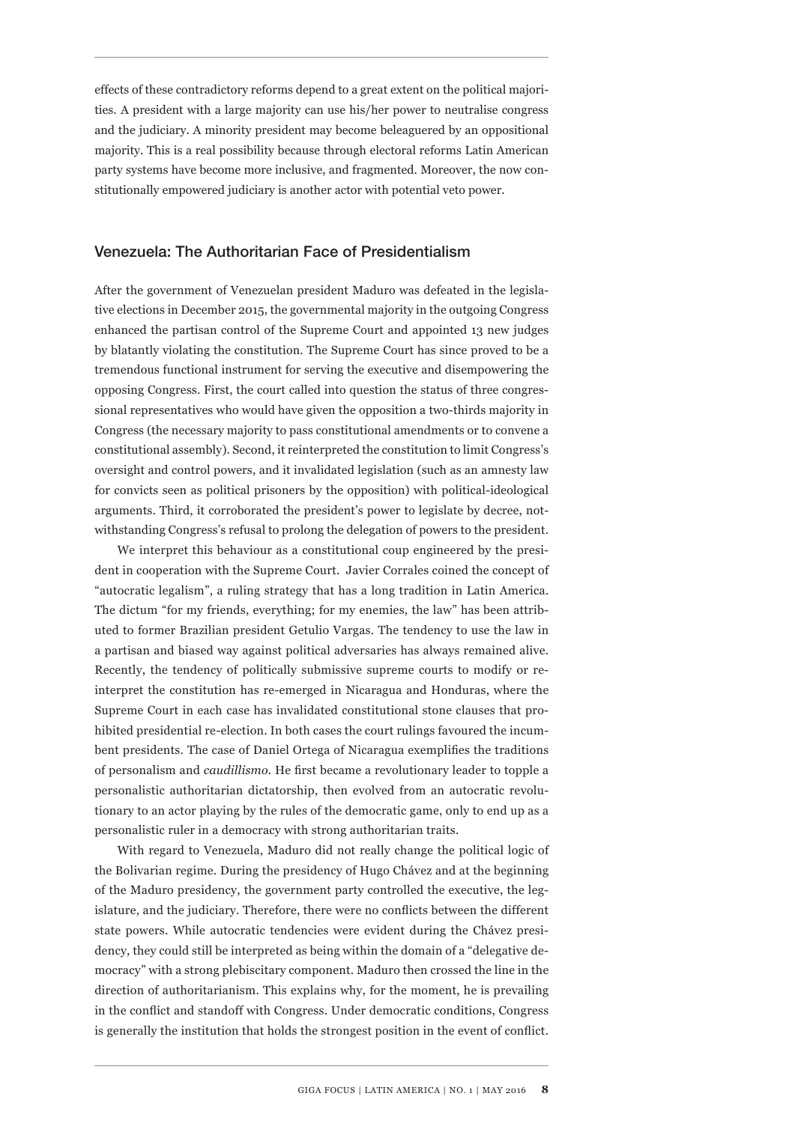effects of these contradictory reforms depend to a great extent on the political majorities. A president with a large majority can use his/her power to neutralise congress and the judiciary. A minority president may become beleaguered by an oppositional majority. This is a real possibility because through electoral reforms Latin American party systems have become more inclusive, and fragmented. Moreover, the now constitutionally empowered judiciary is another actor with potential veto power.

#### Venezuela: The Authoritarian Face of Presidentialism

After the government of Venezuelan president Maduro was defeated in the legislative elections in December 2015, the governmental majority in the outgoing Congress enhanced the partisan control of the Supreme Court and appointed 13 new judges by blatantly violating the constitution. The Supreme Court has since proved to be a tremendous functional instrument for serving the executive and disempowering the opposing Congress. First, the court called into question the status of three congressional representatives who would have given the opposition a two-thirds majority in Congress (the necessary majority to pass constitutional amendments or to convene a constitutional assembly). Second, it reinterpreted the constitution to limit Congress's oversight and control powers, and it invalidated legislation (such as an amnesty law for convicts seen as political prisoners by the opposition) with political-ideological arguments. Third, it corroborated the president's power to legislate by decree, notwithstanding Congress's refusal to prolong the delegation of powers to the president.

We interpret this behaviour as a constitutional coup engineered by the president in cooperation with the Supreme Court. Javier Corrales coined the concept of "autocratic legalism", a ruling strategy that has a long tradition in Latin America. The dictum "for my friends, everything; for my enemies, the law" has been attributed to former Brazilian president Getulio Vargas. The tendency to use the law in a partisan and biased way against political adversaries has always remained alive. Recently, the tendency of politically submissive supreme courts to modify or reinterpret the constitution has re-emerged in Nicaragua and Honduras, where the Supreme Court in each case has invalidated constitutional stone clauses that prohibited presidential re-election. In both cases the court rulings favoured the incumbent presidents. The case of Daniel Ortega of Nicaragua exemplifies the traditions of personalism and *caudillismo*. He first became a revolutionary leader to topple a personalistic authoritarian dictatorship, then evolved from an autocratic revolutionary to an actor playing by the rules of the democratic game, only to end up as a personalistic ruler in a democracy with strong authoritarian traits.

With regard to Venezuela, Maduro did not really change the political logic of the Bolivarian regime. During the presidency of Hugo Chávez and at the beginning of the Maduro presidency, the government party controlled the executive, the legislature, and the judiciary. Therefore, there were no conflicts between the different state powers. While autocratic tendencies were evident during the Chávez presidency, they could still be interpreted as being within the domain of a "delegative democracy" with a strong plebiscitary component. Maduro then crossed the line in the direction of authoritarianism. This explains why, for the moment, he is prevailing in the conflict and standoff with Congress. Under democratic conditions, Congress is generally the institution that holds the strongest position in the event of conflict.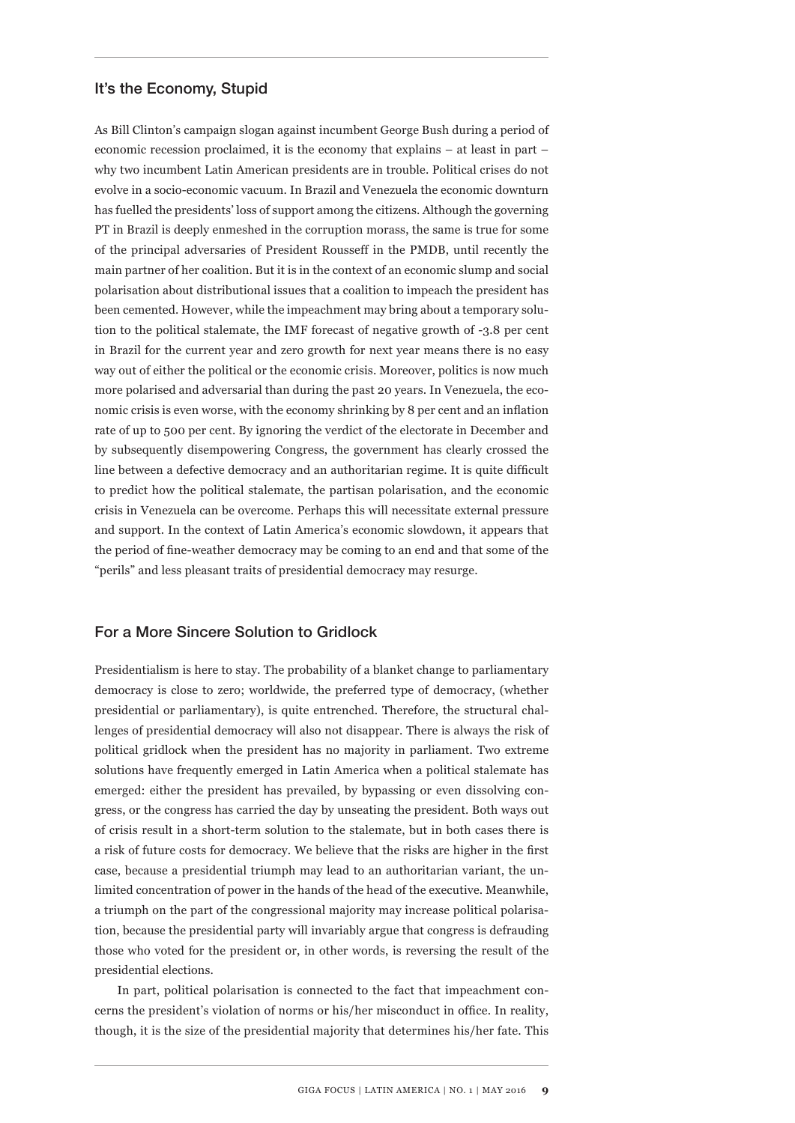## It's the Economy, Stupid

As Bill Clinton's campaign slogan against incumbent George Bush during a period of economic recession proclaimed, it is the economy that explains – at least in part – why two incumbent Latin American presidents are in trouble. Political crises do not evolve in a socio-economic vacuum. In Brazil and Venezuela the economic downturn has fuelled the presidents' loss of support among the citizens. Although the governing PT in Brazil is deeply enmeshed in the corruption morass, the same is true for some of the principal adversaries of President Rousseff in the PMDB, until recently the main partner of her coalition. But it is in the context of an economic slump and social polarisation about distributional issues that a coalition to impeach the president has been cemented. However, while the impeachment may bring about a temporary solution to the political stalemate, the IMF forecast of negative growth of -3.8 per cent in Brazil for the current year and zero growth for next year means there is no easy way out of either the political or the economic crisis. Moreover, politics is now much more polarised and adversarial than during the past 20 years. In Venezuela, the economic crisis is even worse, with the economy shrinking by 8 per cent and an inflation rate of up to 500 per cent. By ignoring the verdict of the electorate in December and by subsequently disempowering Congress, the government has clearly crossed the line between a defective democracy and an authoritarian regime. It is quite difficult to predict how the political stalemate, the partisan polarisation, and the economic crisis in Venezuela can be overcome. Perhaps this will necessitate external pressure and support. In the context of Latin America's economic slowdown, it appears that the period of fine-weather democracy may be coming to an end and that some of the "perils" and less pleasant traits of presidential democracy may resurge.

## For a More Sincere Solution to Gridlock

Presidentialism is here to stay. The probability of a blanket change to parliamentary democracy is close to zero; worldwide, the preferred type of democracy, (whether presidential or parliamentary), is quite entrenched. Therefore, the structural challenges of presidential democracy will also not disappear. There is always the risk of political gridlock when the president has no majority in parliament. Two extreme solutions have frequently emerged in Latin America when a political stalemate has emerged: either the president has prevailed, by bypassing or even dissolving congress, or the congress has carried the day by unseating the president. Both ways out of crisis result in a short-term solution to the stalemate, but in both cases there is a risk of future costs for democracy. We believe that the risks are higher in the first case, because a presidential triumph may lead to an authoritarian variant, the unlimited concentration of power in the hands of the head of the executive. Meanwhile, a triumph on the part of the congressional majority may increase political polarisation, because the presidential party will invariably argue that congress is defrauding those who voted for the president or, in other words, is reversing the result of the presidential elections.

In part, political polarisation is connected to the fact that impeachment concerns the president's violation of norms or his/her misconduct in office. In reality, though, it is the size of the presidential majority that determines his/her fate. This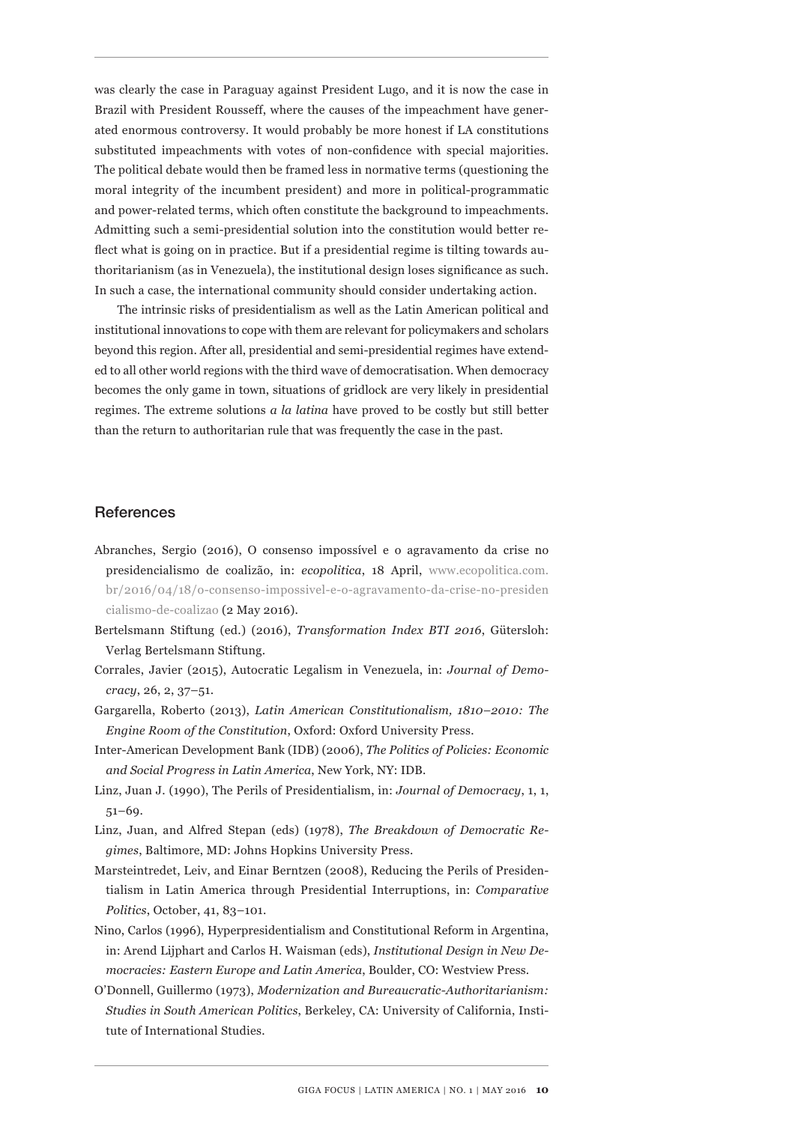was clearly the case in Paraguay against President Lugo, and it is now the case in Brazil with President Rousseff, where the causes of the impeachment have generated enormous controversy. It would probably be more honest if LA constitutions substituted impeachments with votes of non-confidence with special majorities. The political debate would then be framed less in normative terms (questioning the moral integrity of the incumbent president) and more in political-programmatic and power-related terms, which often constitute the background to impeachments. Admitting such a semi-presidential solution into the constitution would better reflect what is going on in practice. But if a presidential regime is tilting towards authoritarianism (as in Venezuela), the institutional design loses significance as such. In such a case, the international community should consider undertaking action.

The intrinsic risks of presidentialism as well as the Latin American political and institutional innovations to cope with them are relevant for policymakers and scholars beyond this region. After all, presidential and semi-presidential regimes have extended to all other world regions with the third wave of democratisation. When democracy becomes the only game in town, situations of gridlock are very likely in presidential regimes. The extreme solutions *a la latina* have proved to be costly but still better than the return to authoritarian rule that was frequently the case in the past.

#### **References**

- Abranches, Sergio (2016), O consenso impossível e o agravamento da crise no presidencialismo de coalizão, in: *ecopolitica*, 18 April, www.ecopolitica.com. br/2016/04/18/o-consenso-impossivel-e-o-agravamento-da-crise-no-presiden cialismo-de-coalizao (2 May 2016).
- Bertelsmann Stiftung (ed.) (2016), *Transformation Index BTI 2016*, Gütersloh: Verlag Bertelsmann Stiftung.
- Corrales, Javier (2015), Autocratic Legalism in Venezuela, in: *Journal of Democracy*, 26, 2, 37–51.
- Gargarella, Roberto (2013), *Latin American Constitutionalism, 1810–2010: The Engine Room of the Constitution*, Oxford: Oxford University Press.
- Inter-American Development Bank (IDB) (2006), *The Politics of Policies: Economic and Social Progress in Latin America*, New York, NY: IDB.
- Linz, Juan J. (1990), The Perils of Presidentialism, in: *Journal of Democracy*, 1, 1, 51–69.
- Linz, Juan, and Alfred Stepan (eds) (1978), *The Breakdown of Democratic Regimes*, Baltimore, MD: Johns Hopkins University Press.
- Marsteintredet, Leiv, and Einar Berntzen (2008), Reducing the Perils of Presidentialism in Latin America through Presidential Interruptions, in: *Comparative Politics*, October, 41, 83–101.
- Nino, Carlos (1996), Hyperpresidentialism and Constitutional Reform in Argentina, in: Arend Lijphart and Carlos H. Waisman (eds), *Institutional Design in New Democracies: Eastern Europe and Latin America*, Boulder, CO: Westview Press.
- O'Donnell, Guillermo (1973), *Modernization and Bureaucratic-Authoritarianism: Studies in South American Politics*, Berkeley, CA: University of California, Institute of International Studies.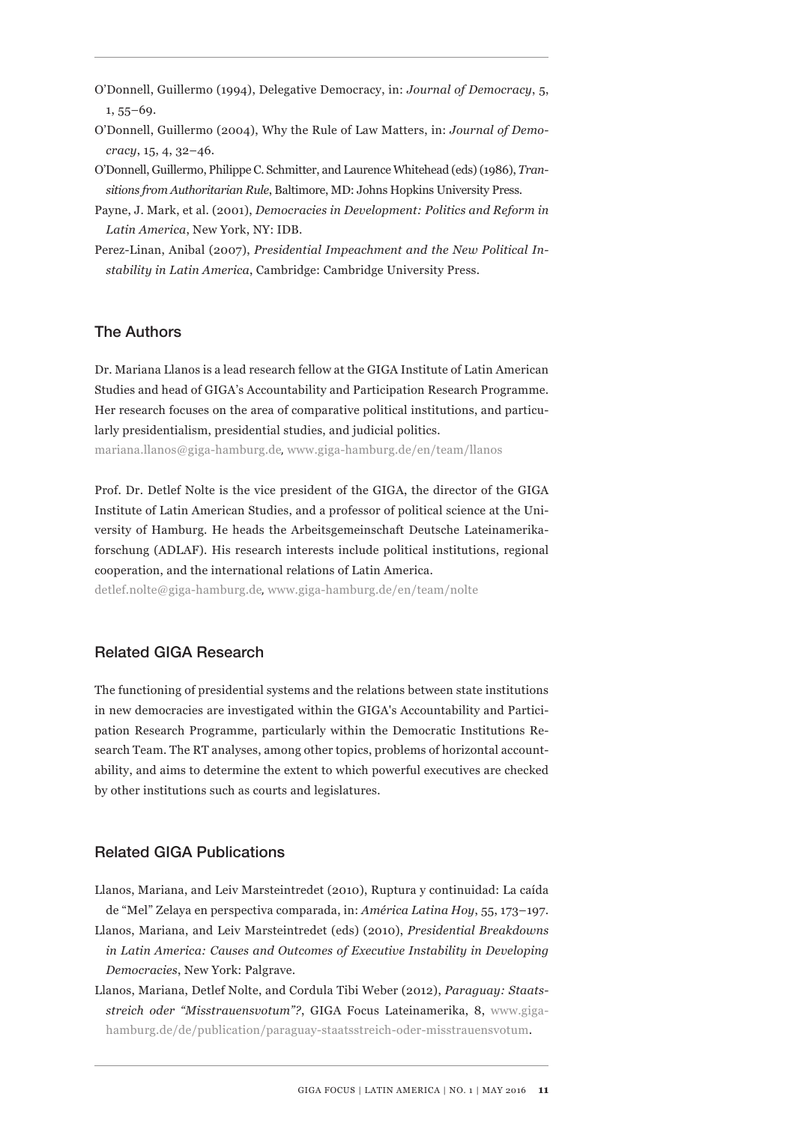O'Donnell, Guillermo (1994), Delegative Democracy, in: *Journal of Democracy*, 5, 1, 55–69.

- O'Donnell, Guillermo (2004), Why the Rule of Law Matters, in: *Journal of Democracy*, 15, 4, 32–46.
- O'Donnell, Guillermo, Philippe C. Schmitter, and Laurence Whitehead (eds) (1986), *Transitions from Authoritarian Rule*, Baltimore, MD: Johns Hopkins University Press.
- Payne, J. Mark, et al. (2001), *Democracies in Development: Politics and Reform in Latin America*, New York, NY: IDB.
- Perez-Linan, Anibal (2007), *Presidential Impeachment and the New Political Instability in Latin America*, Cambridge: Cambridge University Press.

## The Authors

Dr. Mariana Llanos is a lead research fellow at the GIGA Institute of Latin American Studies and head of GIGA's Accountability and Participation Research Programme. Her research focuses on the area of comparative political institutions, and particularly presidentialism, presidential studies, and judicial politics.

mariana.llanos@giga-hamburg.de, www.giga-hamburg.de/en/team/llanos

Prof. Dr. Detlef Nolte is the vice president of the GIGA, the director of the GIGA Institute of Latin American Studies, and a professor of political science at the University of Hamburg. He heads the Arbeitsgemeinschaft Deutsche Lateinamerikaforschung (ADLAF). His research interests include political institutions, regional cooperation, and the international relations of Latin America.

detlef.nolte@giga-hamburg.de, www.giga-hamburg.de/en/team/nolte

## Related GIGA Research

The functioning of presidential systems and the relations between state institutions in new democracies are investigated within the GIGA's Accountability and Participation Research Programme, particularly within the Democratic Institutions Research Team. The RT analyses, among other topics, problems of horizontal accountability, and aims to determine the extent to which powerful executives are checked by other institutions such as courts and legislatures.

## Related GIGA Publications

- Llanos, Mariana, and Leiv Marsteintredet (2010), Ruptura y continuidad: La caída de "Mel" Zelaya en perspectiva comparada, in: *América Latina Hoy*, 55, 173–197. Llanos, Mariana, and Leiv Marsteintredet (eds) (2010), *Presidential Breakdowns in Latin America: Causes and Outcomes of Executive Instability in Developing Democracies*, New York: Palgrave.
- Llanos, Mariana, Detlef Nolte, and Cordula Tibi Weber (2012), *Paraguay: Staatsstreich oder "Misstrauensvotum"?*, GIGA Focus Lateinamerika, 8, www.gigahamburg.de/de/publication/paraguay-staatsstreich-oder-misstrauensvotum.